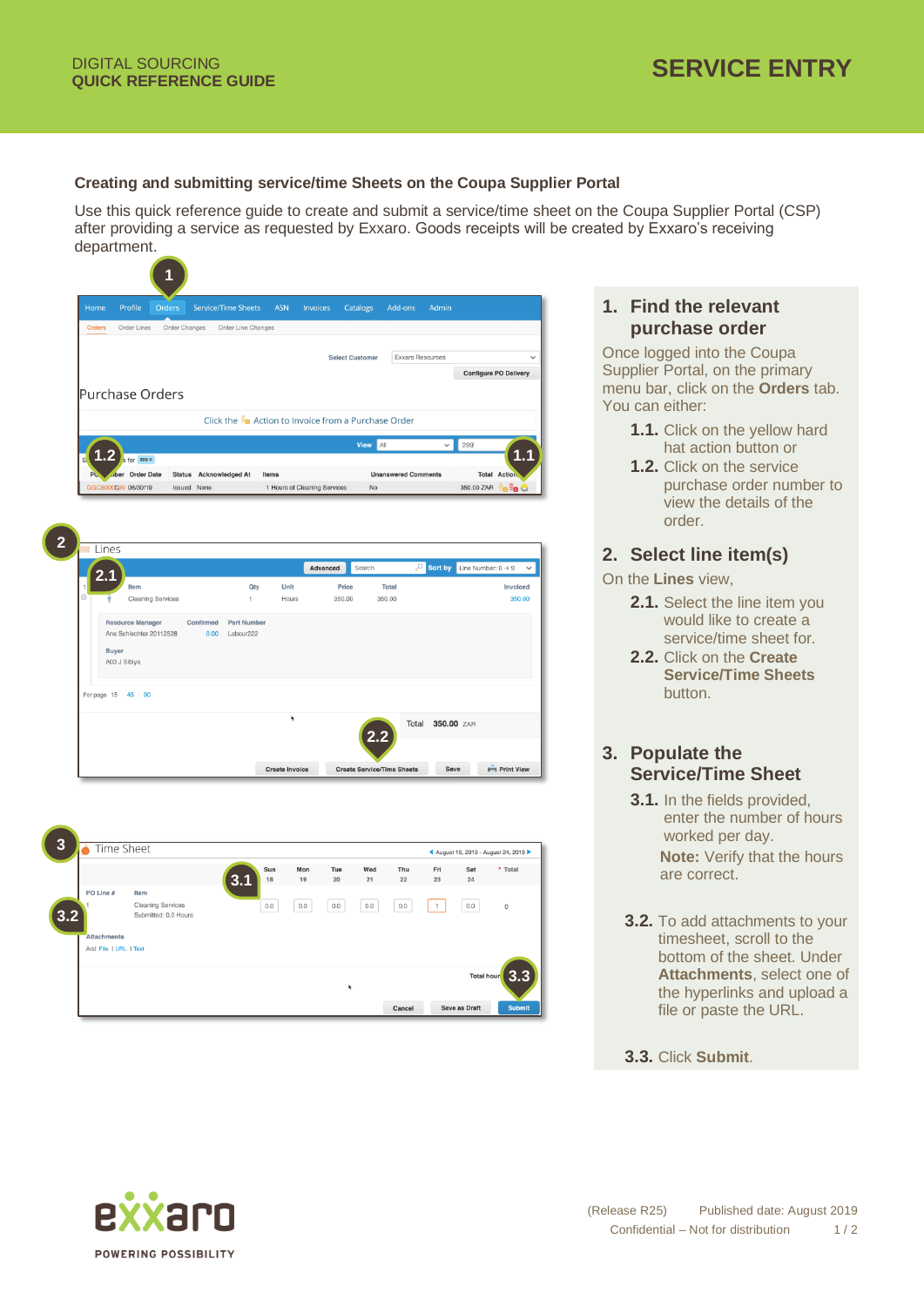#### **Creating and submitting service/time Sheets on the Coupa Supplier Portal**

Use this quick reference guide to create and submit a service/time sheet on the Coupa Supplier Portal (CSP) after providing a service as requested by Exxaro. Goods receipts will be created by Exxaro's receiving department.

| Home   |                              | Profile                  | Orders        |             | <b>Service/Time Sheets</b> | <b>ASN</b> | Invoices                                             | Catalogs               |        | Add-ons                    | Admin            |                                |                     |
|--------|------------------------------|--------------------------|---------------|-------------|----------------------------|------------|------------------------------------------------------|------------------------|--------|----------------------------|------------------|--------------------------------|---------------------|
| Orders |                              | Order Lines              | Order Changes |             | Order Line Changes         |            |                                                      |                        |        |                            |                  |                                |                     |
|        |                              |                          |               |             |                            |            |                                                      |                        |        |                            |                  |                                |                     |
|        |                              |                          |               |             |                            |            |                                                      | <b>Select Customer</b> |        | Exxaro Resources           |                  | <b>Configure PO Delivery</b>   |                     |
|        |                              |                          |               |             |                            |            |                                                      |                        |        |                            |                  |                                |                     |
|        |                              | Purchase Orders          |               |             |                            |            |                                                      |                        |        |                            |                  |                                |                     |
|        |                              |                          |               |             |                            |            | Click the se Action to Invoice from a Purchase Order |                        |        |                            |                  |                                |                     |
|        |                              |                          |               |             |                            |            |                                                      | <b>View</b> All        |        |                            | $\checkmark$     | 299                            |                     |
|        | -2                           | s for 299 x              |               |             |                            |            |                                                      |                        |        |                            |                  |                                |                     |
| PC     |                              | ber Order Date           |               |             | Status Acknowledged At     | Items      |                                                      |                        |        | <b>Unanswered Comments</b> |                  |                                | <b>Total Action</b> |
|        |                              | GGC8000C99 08/30/19      |               | Issued None |                            |            | 1 Hours of Cleaning Services                         | No                     |        |                            |                  | 350.00 ZAR                     | ie <sup>E</sup> e M |
|        |                              |                          |               |             |                            |            |                                                      |                        |        |                            |                  |                                |                     |
|        | Lines                        |                          |               |             |                            |            | Advanced                                             | Search                 |        | م                          | Sort by          | Line Number: $0 \rightarrow 9$ |                     |
|        |                              | Item                     |               |             | Qty                        | Unit       |                                                      | Price                  | Total  |                            |                  |                                | Invoiced            |
| ⊟      |                              | <b>Cleaning Services</b> |               |             | 1                          | Hours      |                                                      | 350.00                 | 350.00 |                            |                  |                                | 350.00              |
|        |                              | <b>Resource Manager</b>  |               | Confirmed   | <b>Part Number</b>         |            |                                                      |                        |        |                            |                  |                                |                     |
|        |                              | Ane Schlechter 20112528  |               | 0.00        | Labour222                  |            |                                                      |                        |        |                            |                  |                                |                     |
|        | <b>Buyer</b><br>A03 J Sibiya |                          |               |             |                            |            |                                                      |                        |        |                            |                  |                                |                     |
|        |                              |                          |               |             |                            |            |                                                      |                        |        |                            |                  |                                |                     |
|        |                              | Per page 15   45   90    |               |             |                            |            |                                                      |                        |        |                            |                  |                                |                     |
|        |                              |                          |               |             |                            | ٠          |                                                      |                        |        |                            | Total 350.00 ZAR |                                |                     |
|        |                              |                          |               |             |                            |            |                                                      |                        |        |                            |                  |                                |                     |
|        |                              |                          |               |             |                            |            |                                                      |                        |        |                            |                  |                                |                     |



# **1. Find the relevant purchase order**

Once logged into the Coupa Supplier Portal, on the primary menu bar, click on the **Orders** tab. You can either:

- **1.1.** Click on the yellow hard hat action button or
- **1.2.** Click on the service purchase order number to view the details of the order.

#### **2. Select line item(s)**

On the **Lines** view,

- **2.1.** Select the line item you would like to create a service/time sheet for.
- **2.2.** Click on the **Create Service/Time Sheets** button.

## **3. Populate the Service/Time Sheet**

- **3.1.** In the fields provided, enter the number of hours worked per day. **Note:** Verify that the hours are correct.
- **3.2.** To add attachments to your timesheet, scroll to the bottom of the sheet. Under **Attachments**, select one of the hyperlinks and upload a file or paste the URL.
- **3.3.** Click **Submit**.